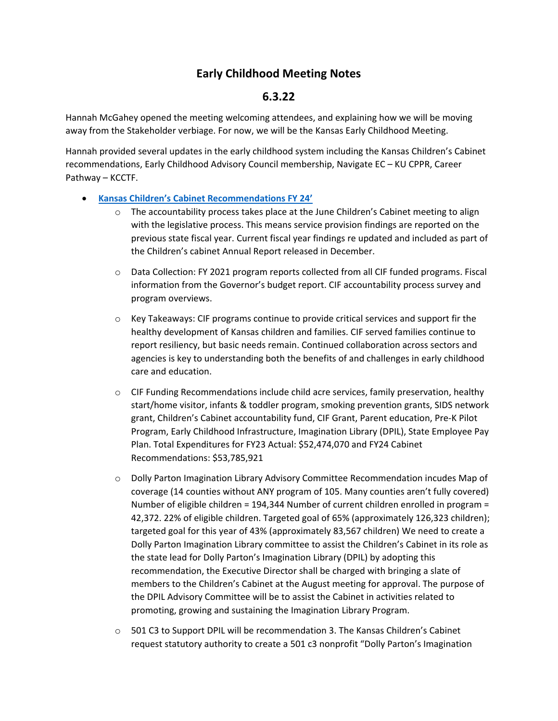# **Early Childhood Meeting Notes**

## **6.3.22**

Hannah McGahey opened the meeting welcoming attendees, and explaining how we will be moving away from the Stakeholder verbiage. For now, we will be the Kansas Early Childhood Meeting.

Hannah provided several updates in the early childhood system including the Kansas Children's Cabinet recommendations, Early Childhood Advisory Council membership, Navigate EC – KU CPPR, Career Pathway – KCCTF.

#### • **[Kansas](https://www.kcsl.org/PDFs/CAP%20toolkit%202022.pdf) Children's Cabinet Recommendations FY 24'**

- $\circ$  The accountability process takes place at the June Children's Cabinet meeting to align with the legislative process. This means service provision findings are reported on the previous state fiscal year. Current fiscal year findings re updated and included as part of the Children's cabinet Annual Report released in December.
- o Data Collection: FY 2021 program reports collected from all CIF funded programs. Fiscal information from the Governor's budget report. CIF accountability process survey and program overviews.
- $\circ$  Key Takeaways: CIF programs continue to provide critical services and support fir the healthy development of Kansas children and families. CIF served families continue to report resiliency, but basic needs remain. Continued collaboration across sectors and agencies is key to understanding both the benefits of and challenges in early childhood care and education.
- o CIF Funding Recommendations include child acre services, family preservation, healthy start/home visitor, infants & toddler program, smoking prevention grants, SIDS network grant, Children's Cabinet accountability fund, CIF Grant, Parent education, Pre-K Pilot Program, Early Childhood Infrastructure, Imagination Library (DPIL), State Employee Pay Plan. Total Expenditures for FY23 Actual: \$52,474,070 and FY24 Cabinet Recommendations: \$53,785,921
- o Dolly Parton Imagination Library Advisory Committee Recommendation incudes Map of coverage (14 counties without ANY program of 105. Many counties aren't fully covered) Number of eligible children = 194,344 Number of current children enrolled in program = 42,372. 22% of eligible children. Targeted goal of 65% (approximately 126,323 children); targeted goal for this year of 43% (approximately 83,567 children) We need to create a Dolly Parton Imagination Library committee to assist the Children's Cabinet in its role as the state lead for Dolly Parton's Imagination Library (DPIL) by adopting this recommendation, the Executive Director shall be charged with bringing a slate of members to the Children's Cabinet at the August meeting for approval. The purpose of the DPIL Advisory Committee will be to assist the Cabinet in activities related to promoting, growing and sustaining the Imagination Library Program.
- o 501 C3 to Support DPIL will be recommendation 3. The Kansas Children's Cabinet request statutory authority to create a 501 c3 nonprofit "Dolly Parton's Imagination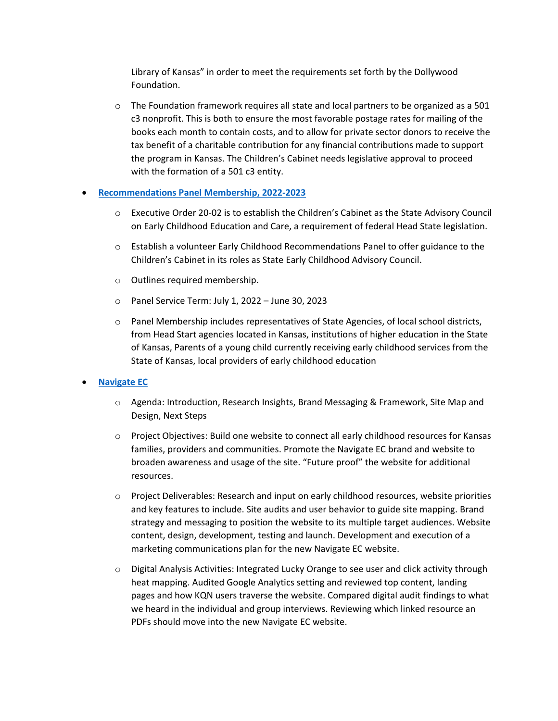Library of Kansas" in order to meet the requirements set forth by the Dollywood Foundation.

 $\circ$  The Foundation framework requires all state and local partners to be organized as a 501 c3 nonprofit. This is both to ensure the most favorable postage rates for mailing of the books each month to contain costs, and to allow for private sector donors to receive the tax benefit of a charitable contribution for any financial contributions made to support the program in Kansas. The Children's Cabinet needs legislative approval to proceed with the formation of a 501 c3 entity.

#### • **[Recommendations Panel Membership, 2022-2023](https://kcsl.org/training_events.aspx)**

- o Executive Order 20-02 is to establish the Children's Cabinet as the State Advisory Council on Early Childhood Education and Care, a requirement of federal Head State legislation.
- o Establish a volunteer Early Childhood Recommendations Panel to offer guidance to the Children's Cabinet in its roles as State Early Childhood Advisory Council.
- o Outlines required membership.
- o Panel Service Term: July 1, 2022 June 30, 2023
- o Panel Membership includes representatives of State Agencies, of local school districts, from Head Start agencies located in Kansas, institutions of higher education in the State of Kansas, Parents of a young child currently receiving early childhood services from the State of Kansas, local providers of early childhood education
- **[Navigate EC](https://kcsl.org/training_events.aspx)**
	- o Agenda: Introduction, Research Insights, Brand Messaging & Framework, Site Map and Design, Next Steps
	- o Project Objectives: Build one website to connect all early childhood resources for Kansas families, providers and communities. Promote the Navigate EC brand and website to broaden awareness and usage of the site. "Future proof" the website for additional resources.
	- o Project Deliverables: Research and input on early childhood resources, website priorities and key features to include. Site audits and user behavior to guide site mapping. Brand strategy and messaging to position the website to its multiple target audiences. Website content, design, development, testing and launch. Development and execution of a marketing communications plan for the new Navigate EC website.
	- $\circ$  Digital Analysis Activities: Integrated Lucky Orange to see user and click activity through heat mapping. Audited Google Analytics setting and reviewed top content, landing pages and how KQN users traverse the website. Compared digital audit findings to what we heard in the individual and group interviews. Reviewing which linked resource an PDFs should move into the new Navigate EC website.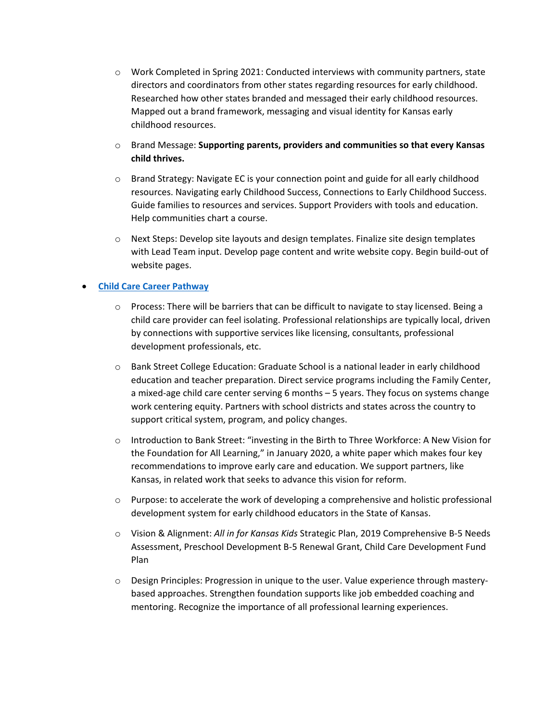- $\circ$  Work Completed in Spring 2021: Conducted interviews with community partners, state directors and coordinators from other states regarding resources for early childhood. Researched how other states branded and messaged their early childhood resources. Mapped out a brand framework, messaging and visual identity for Kansas early childhood resources.
- o Brand Message: **Supporting parents, providers and communities so that every Kansas child thrives.**
- o Brand Strategy: Navigate EC is your connection point and guide for all early childhood resources. Navigating early Childhood Success, Connections to Early Childhood Success. Guide families to resources and services. Support Providers with tools and education. Help communities chart a course.
- o Next Steps: Develop site layouts and design templates. Finalize site design templates with Lead Team input. Develop page content and write website copy. Begin build-out of website pages.

#### • **[Child Care Career Pathway](https://www.surveymonkey.com/r/LJZY36Z)**

- $\circ$  Process: There will be barriers that can be difficult to navigate to stay licensed. Being a child care provider can feel isolating. Professional relationships are typically local, driven by connections with supportive services like licensing, consultants, professional development professionals, etc.
- o Bank Street College Education: Graduate School is a national leader in early childhood education and teacher preparation. Direct service programs including the Family Center, a mixed-age child care center serving 6 months – 5 years. They focus on systems change work centering equity. Partners with school districts and states across the country to support critical system, program, and policy changes.
- o Introduction to Bank Street: "investing in the Birth to Three Workforce: A New Vision for the Foundation for All Learning," in January 2020, a white paper which makes four key recommendations to improve early care and education. We support partners, like Kansas, in related work that seeks to advance this vision for reform.
- $\circ$  Purpose: to accelerate the work of developing a comprehensive and holistic professional development system for early childhood educators in the State of Kansas.
- o Vision & Alignment: *All in for Kansas Kids* Strategic Plan, 2019 Comprehensive B-5 Needs Assessment, Preschool Development B-5 Renewal Grant, Child Care Development Fund Plan
- o Design Principles: Progression in unique to the user. Value experience through masterybased approaches. Strengthen foundation supports like job embedded coaching and mentoring. Recognize the importance of all professional learning experiences.